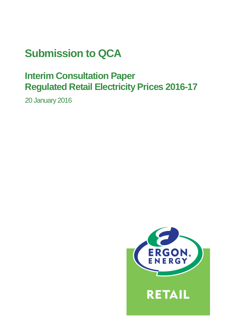# **Submission to QCA**

## **Interim Consultation Paper Regulated Retail Electricity Prices 2016-17**

20 January 2016

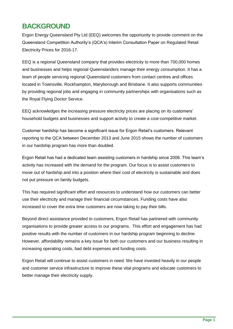## **BACKGROUND**

Ergon Energy Queensland Pty Ltd (EEQ) welcomes the opportunity to provide comment on the Queensland Competition Authority's (QCA's) Interim Consultation Paper on Regulated Retail Electricity Prices for 2016-17.

EEQ is a regional Queensland company that provides electricity to more than 700,000 homes and businesses and helps regional Queenslanders manage their energy consumption. It has a team of people servicing regional Queensland customers from contact centres and offices located in Townsville, Rockhampton, Maryborough and Brisbane. It also supports communities by providing regional jobs and engaging in community partnerships with organisations such as the Royal Flying Doctor Service.

EEQ acknowledges the increasing pressure electricity prices are placing on its customers' household budgets and businesses and support activity to create a cost-competitive market.

Customer hardship has become a significant issue for Ergon Retail's customers. Relevant reporting to the QCA between December 2013 and June 2015 shows the number of customers in our hardship program has more than doubled.

Ergon Retail has had a dedicated team assisting customers in hardship since 2006. This team's activity has increased with the demand for the program. Our focus is to assist customers to move out of hardship and into a position where their cost of electricity is sustainable and does not put pressure on family budgets.

This has required significant effort and resources to understand how our customers can better use their electricity and manage their financial circumstances. Funding costs have also increased to cover the extra time customers are now taking to pay their bills.

Beyond direct assistance provided to customers, Ergon Retail has partnered with community organisations to provide greater access to our programs. This effort and engagement has had positive results with the number of customers in our hardship program beginning to decline. However, affordability remains a key issue for both our customers and our business resulting in increasing operating costs, bad debt expenses and funding costs.

Ergon Retail will continue to assist customers in need. We have invested heavily in our people and customer service infrastructure to improve these vital programs and educate customers to better manage their electricity supply.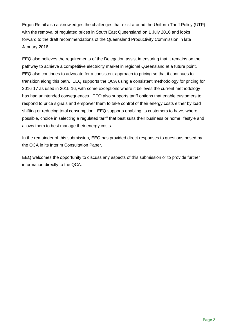Ergon Retail also acknowledges the challenges that exist around the Uniform Tariff Policy (UTP) with the removal of regulated prices in South East Queensland on 1 July 2016 and looks forward to the draft recommendations of the Queensland Productivity Commission in late January 2016.

EEQ also believes the requirements of the Delegation assist in ensuring that it remains on the pathway to achieve a competitive electricity market in regional Queensland at a future point. EEQ also continues to advocate for a consistent approach to pricing so that it continues to transition along this path. EEQ supports the QCA using a consistent methodology for pricing for 2016-17 as used in 2015-16, with some exceptions where it believes the current methodology has had unintended consequences. EEQ also supports tariff options that enable customers to respond to price signals and empower them to take control of their energy costs either by load shifting or reducing total consumption. EEQ supports enabling its customers to have, where possible, choice in selecting a regulated tariff that best suits their business or home lifestyle and allows them to best manage their energy costs.

In the remainder of this submission, EEQ has provided direct responses to questions posed by the QCA in its Interim Consultation Paper.

EEQ welcomes the opportunity to discuss any aspects of this submission or to provide further information directly to the QCA.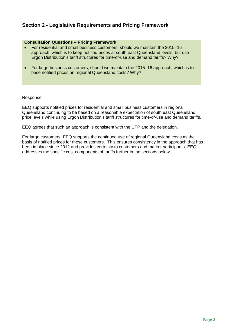## **Section 2 - Legislative Requirements and Pricing Framework**

#### **Consultation Questions – Pricing Framework**

- For residential and small business customers, should we maintain the 2015–16 approach, which is to keep notified prices at south east Queensland levels, but use Ergon Distribution's tariff structures for time-of-use and demand tariffs? Why?
- For large business customers, should we maintain the 2015–16 approach, which is to base notified prices on regional Queensland costs? Why?

#### Response

EEQ supports notified prices for residential and small business customers in regional Queensland continuing to be based on a reasonable expectation of south east Queensland price levels while using Ergon Distribution's tariff structures for time-of-use and demand tariffs.

EEQ agrees that such an approach is consistent with the UTP and the delegation.

For large customers, EEQ supports the continued use of regional Queensland costs as the basis of notified prices for these customers. This ensures consistency in the approach that has been in place since 2012 and provides certainty to customers and market participants. EEQ addresses the specific cost components of tariffs further in the sections below.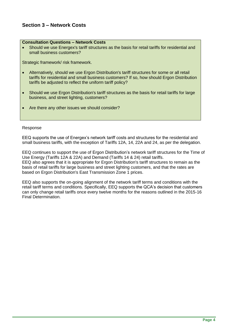## **Section 3 – Network Costs**

#### **Consultation Questions – Network Costs**

 Should we use Energex's tariff structures as the basis for retail tariffs for residential and small business customers?

Strategic framework/ risk framework.

- Alternatively, should we use Ergon Distribution's tariff structures for some or all retail tariffs for residential and small business customers? If so, how should Ergon Distribution tariffs be adjusted to reflect the uniform tariff policy?
- Should we use Ergon Distribution's tariff structures as the basis for retail tariffs for large business, and street lighting, customers?
- Are there any other issues we should consider?

#### Response

EEQ supports the use of Energex's network tariff costs and structures for the residential and small business tariffs, with the exception of Tariffs 12A, 14, 22A and 24, as per the delegation.

EEQ continues to support the use of Ergon Distribution's network tariff structures for the Time of Use Energy (Tariffs 12A & 22A) and Demand (Tariffs 14 & 24) retail tariffs. EEQ also agrees that it is appropriate for Ergon Distribution's tariff structures to remain as the basis of retail tariffs for large business and street lighting customers, and that the rates are based on Ergon Distribution's East Transmission Zone 1 prices.

EEQ also supports the on-going alignment of the network tariff terms and conditions with the retail tariff terms and conditions. Specifically, EEQ supports the QCA's decision that customers can only change retail tariffs once every twelve months for the reasons outlined in the 2015-16 Final Determination.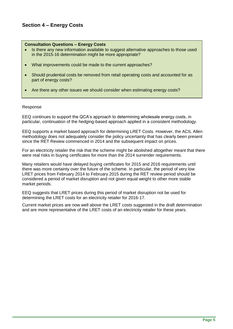## **Section 4 – Energy Costs**

#### **Consultation Questions – Energy Costs**

- Is there any new information available to suggest alternative approaches to those used in the 2015-16 determination might be more appropriate?
- What improvements could be made to the current approaches?
- Should prudential costs be removed from retail operating costs and accounted for as part of energy costs?
- Are there any other issues we should consider when estimating energy costs?

#### Response

EEQ continues to support the QCA's approach to determining wholesale energy costs, in particular, continuation of the hedging-based approach applied in a consistent methodology.

EEQ supports a market based approach for determining LRET Costs. However, the ACIL Allen methodology does not adequately consider the policy uncertainty that has clearly been present since the RET Review commenced in 2014 and the subsequent impact on prices.

For an electricity retailer the risk that the scheme might be abolished altogether meant that there were real risks in buying certificates for more than the 2014 surrender requirements.

Many retailers would have delayed buying certificates for 2015 and 2016 requirements until there was more certainty over the future of the scheme. In particular, the period of very low LRET prices from February 2014 to February 2015 during the RET review period should be considered a period of market disruption and not given equal weight to other more stable market periods.

EEQ suggests that LRET prices during this period of market disruption not be used for determining the LRET costs for an electricity retailer for 2016-17.

Current market prices are now well above the LRET costs suggested in the draft determination and are more representative of the LRET costs of an electricity retailer for these years.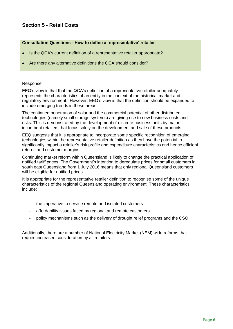## **Section 5 - Retail Costs**

#### **Consultation Questions - How to define a 'representative' retailer**

- Is the QCA's current definition of a representative retailer appropriate?
- Are there any alternative definitions the QCA should consider?

#### Response

EEQ's view is that that the QCA's definition of a representative retailer adequately represents the characteristics of an entity in the context of the historical market and regulatory environment. However, EEQ's view is that the definition should be expanded to include emerging trends in these areas.

The continued penetration of solar and the commercial potential of other distributed technologies (namely small storage systems) are giving rise to new business costs and risks. This is demonstrated by the development of discrete business units by major incumbent retailers that focus solely on the development and sale of these products.

EEQ suggests that it is appropriate to incorporate some specific recognition of emerging technologies within the representative retailer definition as they have the potential to significantly impact a retailer's risk profile and expenditure characteristics and hence efficient returns and customer margins.

Continuing market reform within Queensland is likely to change the practical application of notified tariff prices. The Government's intention to deregulate prices for small customers in south east Queensland from 1 July 2016 means that only regional Queensland customers will be eligible for notified prices.

It is appropriate for the representative retailer definition to recognise some of the unique characteristics of the regional Queensland operating environment. These characteristics include:

- the imperative to service remote and isolated customers
- affordability issues faced by regional and remote customers
- policy mechanisms such as the delivery of drought relief programs and the CSO

Additionally, there are a number of National Electricity Market (NEM) wide reforms that require increased consideration by all retailers.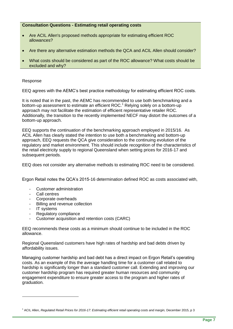#### **Consultation Questions - Estimating retail operating costs**

- Are ACIL Allen's proposed methods appropriate for estimating efficient ROC allowances?
- Are there any alternative estimation methods the QCA and ACIL Allen should consider?
- What costs should be considered as part of the ROC allowance? What costs should be excluded and why?

#### Response

EEQ agrees with the AEMC's best practice methodology for estimating efficient ROC costs.

It is noted that in the past, the AEMC has recommended to use both benchmarking and a bottom-up assessment to estimate an efficient ROC.<sup>1</sup> Relying solely on a bottom-up approach may not facilitate the estimation of efficient representative retailer ROC. Additionally, the transition to the recently implemented NECF may distort the outcomes of a bottom-up approach.

EEQ supports the continuation of the benchmarking approach employed in 2015/16. As ACIL Allen has clearly stated the intention to use both a benchmarking and bottom-up approach, EEQ requests the QCA give consideration to the continuing evolution of the regulatory and market environment. This should include recognition of the characteristics of the retail electricity supply to regional Queensland when setting prices for 2016-17 and subsequent periods.

EEQ does not consider any alternative methods to estimating ROC need to be considered.

Ergon Retail notes the QCA's 2015-16 determination defined ROC as costs associated with,

- Customer administration
- Call centres
- Corporate overheads
- Billing and revenue collection
- IT systems

-

- Regulatory compliance
- Customer acquisition and retention costs (CARC)

EEQ recommends these costs as a minimum should continue to be included in the ROC allowance.

Regional Queensland customers have high rates of hardship and bad debts driven by affordability issues.

Managing customer hardship and bad debt has a direct impact on Ergon Retail's operating costs. As an example of this the average handling time for a customer call related to hardship is significantly longer than a standard customer call. Extending and improving our customer hardship program has required greater human resources and community engagement expenditure to ensure greater access to the program and higher rates of graduation.

<sup>1</sup> ACIL Allen, *Regulated Retail Prices for 2016-17: Estimating efficient retail operating costs and margin,* December 2015, p 3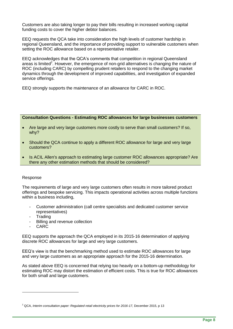Customers are also taking longer to pay their bills resulting in increased working capital funding costs to cover the higher debtor balances.

EEQ requests the QCA take into consideration the high levels of customer hardship in regional Queensland, and the importance of providing support to vulnerable customers when setting the ROC allowance based on a representative retailer.

EEQ acknowledges that the QCA's comments that competition in regional Queensland areas is limited<sup>2</sup>. However, the emergence of non-grid alternatives is changing the nature of ROC (including CARC) by compelling prudent retailers to respond to the changing market dynamics through the development of improved capabilities, and investigation of expanded service offerings.

EEQ strongly supports the maintenance of an allowance for CARC in ROC.

**Consultation Questions - Estimating ROC allowances for large businesses customers**

- Are large and very large customers more costly to serve than small customers? If so, why?
- Should the QCA continue to apply a different ROC allowance for large and very large customers?
- Is ACIL Allen's approach to estimating large customer ROC allowances appropriate? Are there any other estimation methods that should be considered?

#### Response

The requirements of large and very large customers often results in more tailored product offerings and bespoke servicing. This impacts operational activities across multiple functions within a business including,

- Customer administration (call centre specialists and dedicated customer service representatives)
- Trading
- Billing and revenue collection
- **CARC**

-

EEQ supports the approach the QCA employed in its 2015-16 determination of applying discrete ROC allowances for large and very large customers.

EEQ's view is that the benchmarking method used to estimate ROC allowances for large and very large customers as an appropriate approach for the 2015-16 determination.

As stated above EEQ is concerned that relying too heavily on a bottom-up methodology for estimating ROC may distort the estimation of efficient costs. This is true for ROC allowances for both small and large customers.

<sup>2</sup> QCA, *Interim consultation paper: Regulated retail electricity prices for 2016-17,* December 2015, p 13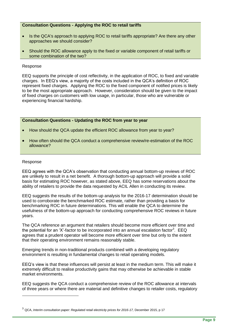#### **Consultation Questions - Applying the ROC to retail tariffs**

- Is the QCA's approach to applying ROC to retail tariffs appropriate? Are there any other approaches we should consider?
- Should the ROC allowance apply to the fixed or variable component of retail tariffs or some combination of the two?

#### Response

EEQ supports the principle of cost reflectivity, in the application of ROC, to fixed and variable charges. In EEQ's view, a majority of the costs included in the QCA's definition of ROC represent fixed charges. Applying the ROC to the fixed component of notified prices is likely to be the most appropriate approach. However, consideration should be given to the impact of fixed charges on customers with low usage, in particular, those who are vulnerable or experiencing financial hardship.

#### **Consultation Questions - Updating the ROC from year to year**

- How should the QCA update the efficient ROC allowance from year to year?
- How often should the QCA conduct a comprehensive review/re-estimation of the ROC allowance?

#### Response

-

EEQ agrees with the QCA's observation that conducting annual bottom-up reviews of ROC are unlikely to result in a net benefit. A thorough bottom-up approach will provide a solid basis for estimating ROC however, as stated above, EEQ has some reservations about the ability of retailers to provide the data requested by ACIL Allen in conducting its review.

EEQ suggests the results of the bottom-up analysis for the 2016-17 determination should be used to corroborate the benchmarked ROC estimate, rather than providing a basis for benchmarking ROC in future determinations. This will enable the QCA to determine the usefulness of the bottom-up approach for conducting comprehensive ROC reviews in future years.

The QCA reference an argument that retailers should become more efficient over time and the potential for an 'X'-factor to be incorporated into an annual escalation factor<sup>3</sup>. EEQ agrees that a prudent operator will become more efficient over time but only to the extent that their operating environment remains reasonably stable.

Emerging trends in non-traditional products combined with a developing regulatory environment is resulting in fundamental changes to retail operating models.

EEQ's view is that these influences will persist at least in the medium term. This will make it extremely difficult to realise productivity gains that may otherwise be achievable in stable market environments.

EEQ suggests the QCA conduct a comprehensive review of the ROC allowance at intervals of three years or where there are material and definitive changes to retailer costs, regulatory

<sup>3</sup> QCA, *Interim consultation paper: Regulated retail electricity prices for 2016-17,* December 2015, p 17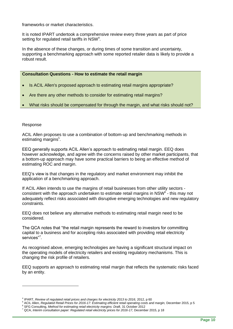frameworks or market characteristics.

It is noted IPART undertook a comprehensive review every three years as part of price setting for regulated retail tariffs in NSW<sup>4</sup>.

In the absence of these changes, or during times of some transition and uncertainty, supporting a benchmarking approach with some reported retailer data is likely to provide a robust result.

#### **Consultation Questions - How to estimate the retail margin**

- Is ACIL Allen's proposed approach to estimating retail margins appropriate?
- Are there any other methods to consider for estimating retail margins?
- What risks should be compensated for through the margin, and what risks should not?

#### Response

-

ACIL Allen proposes to use a combination of bottom-up and benchmarking methods in estimating margins<sup>5</sup>.

EEQ generally supports ACIL Allen's approach to estimating retail margin. EEQ does however acknowledge, and agree with the concerns raised by other market participants, that a bottom-up approach may have some practical barriers to being an effective method of estimating ROC and margin.

EEQ's view is that changes in the regulatory and market environment may inhibit the application of a benchmarking approach.

If ACIL Allen intends to use the margins of retail businesses from other utility sectors consistent with the approach undertaken to estimate retail margins in  $NSW<sup>6</sup>$  - this may not adequately reflect risks associated with disruptive emerging technologies and new regulatory constraints.

EEQ does not believe any alternative methods to estimating retail margin need to be considered.

The QCA notes that "the retail margin represents the reward to investors for committing capital to a business and for accepting risks associated with providing retail electricity services"<sup>7</sup>.

As recognised above, emerging technologies are having a significant structural impact on the operating models of electricity retailers and existing regulatory mechanisms. This is changing the risk profile of retailers.

EEQ supports an approach to estimating retail margin that reflects the systematic risks faced by an entity.

<sup>4</sup> IPART, *Review of regulated retail prices and charges for electricity 2013 to 2016,* 2012, p 60

<sup>5</sup> ACIL Allen, *Regulated Retail Prices for 2016-17: Estimating efficient retail operating costs and margin,* December 2015, p 5

<sup>6</sup> SFG Consulting, *Method for estimating retail electricity margins: Draft,* 31 October 2012

<sup>7</sup> QCA, *Interim consultation paper: Regulated retail electricity prices for 2016-17,* December 2015, p 18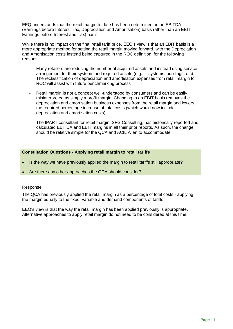EEQ understands that the retail margin to date has been determined on an EBITDA (Earnings before Interest, Tax, Depreciation and Amortisation) basis rather than an EBIT Earnings before Interest and Tax) basis.

While there is no impact on the final retail tariff price, EEQ's view is that an EBIT basis is a more appropriate method for setting the retail margin moving forward, with the Depreciation and Amortisation costs instead being captured in the ROC definition, for the following reasons:

- Many retailers are reducing the number of acquired assets and instead using service arrangement for their systems and required assets (e.g. IT systems, buildings, etc). The reclassification of depreciation and amortisation expenses from retail margin to ROC will assist with future benchmarking process
- Retail margin is not a concept well-understood by consumers and can be easily misinterpreted as simply a profit margin. Changing to an EBIT basis removes the depreciation and amortisation business expenses from the retail margin and lowers the required percentage increase of total costs (which would now include depreciation and amortisation costs)
- The IPART consultant for retail margin, SFG Consulting, has historically reported and calculated EBITDA and EBIT margins in all their prior reports. As such, the change should be relative simple for the QCA and ACIL Allen to accommodate

#### **Consultation Questions - Applying retail margin to retail tariffs**

- Is the way we have previously applied the margin to retail tariffs still appropriate?
- Are there any other approaches the QCA should consider?

#### Response

The QCA has previously applied the retail margin as a percentage of total costs - applying the margin equally to the fixed, variable and demand components of tariffs.

EEQ's view is that the way the retail margin has been applied previously is appropriate. Alternative approaches to apply retail margin do not need to be considered at this time.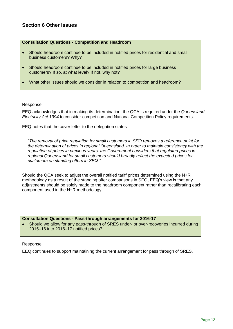### **Section 6 Other Issues**

#### **Consultation Questions - Competition and Headroom**

- Should headroom continue to be included in notified prices for residential and small business customers? Why?
- Should headroom continue to be included in notified prices for large business customers? If so, at what level? If not, why not?
- What other issues should we consider in relation to competition and headroom?

#### Response

EEQ acknowledges that in making its determination, the QCA is required under the *Queensland Electricity Act 1994* to consider competition and National Competition Policy requirements.

EEQ notes that the cover letter to the delegation states:

*"The removal of price regulation for small customers in SEQ removes a reference point for the determination of prices in regional Queensland. In order to maintain consistency with the regulation of prices in previous years, the Government considers that regulated prices in regional Queensland for small customers should broadly reflect the expected prices for customers on standing offers in SEQ."*

Should the QCA seek to adjust the overall notified tariff prices determined using the N+R methodology as a result of the standing offer comparisons in SEQ, EEQ's view is that any adjustments should be solely made to the headroom component rather than recalibrating each component used in the N+R methodology.

#### **Consultation Questions - Pass-through arrangements for 2016-17**

 Should we allow for any pass-through of SRES under- or over-recoveries incurred during 2015–16 into 2016–17 notified prices?

#### Response

EEQ continues to support maintaining the current arrangement for pass through of SRES.